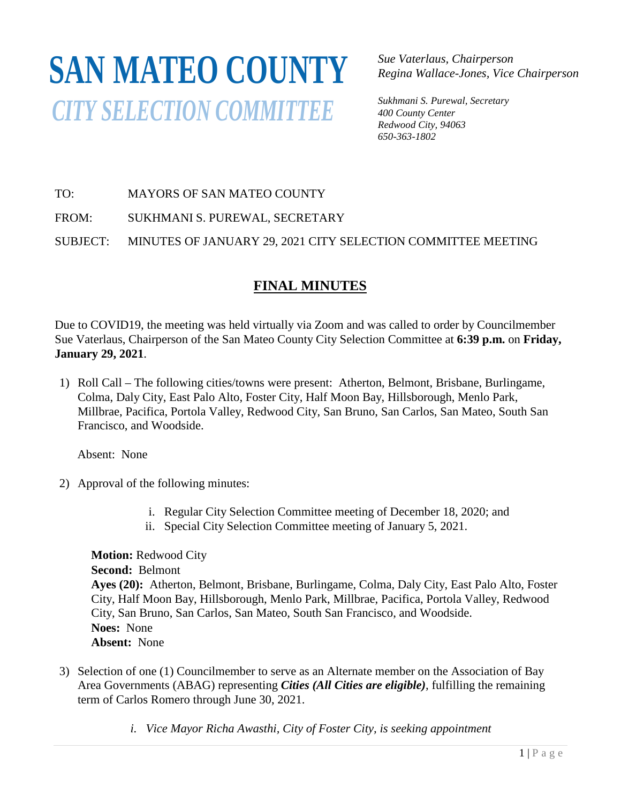# **SAN MATEO COUNTY***CITY SELECTION COMMITTEE*

*Sue Vaterlaus, Chairperson Regina Wallace-Jones, Vice Chairperson*

*Sukhmani S. Purewal, Secretary 400 County Center Redwood City, 94063 650-363-1802*

TO: MAYORS OF SAN MATEO COUNTY

FROM: SUKHMANI S. PUREWAL, SECRETARY

SUBJECT: MINUTES OF JANUARY 29, 2021 CITY SELECTION COMMITTEE MEETING

## **FINAL MINUTES**

Due to COVID19, the meeting was held virtually via Zoom and was called to order by Councilmember Sue Vaterlaus, Chairperson of the San Mateo County City Selection Committee at **6:39 p.m.** on **Friday, January 29, 2021**.

1) Roll Call – The following cities/towns were present: Atherton, Belmont, Brisbane, Burlingame, Colma, Daly City, East Palo Alto, Foster City, Half Moon Bay, Hillsborough, Menlo Park, Millbrae, Pacifica, Portola Valley, Redwood City, San Bruno, San Carlos, San Mateo, South San Francisco, and Woodside.

Absent: None

- 2) Approval of the following minutes:
	- i. Regular City Selection Committee meeting of December 18, 2020; and
	- ii. Special City Selection Committee meeting of January 5, 2021.

**Motion:** Redwood City **Second:** Belmont **Ayes (20):** Atherton, Belmont, Brisbane, Burlingame, Colma, Daly City, East Palo Alto, Foster City, Half Moon Bay, Hillsborough, Menlo Park, Millbrae, Pacifica, Portola Valley, Redwood City, San Bruno, San Carlos, San Mateo, South San Francisco, and Woodside. **Noes:** None **Absent:** None

- 3) Selection of one (1) Councilmember to serve as an Alternate member on the Association of Bay Area Governments (ABAG) representing *Cities (All Cities are eligible)*, fulfilling the remaining term of Carlos Romero through June 30, 2021.
	- *i. Vice Mayor Richa Awasthi, City of Foster City, is seeking appointment*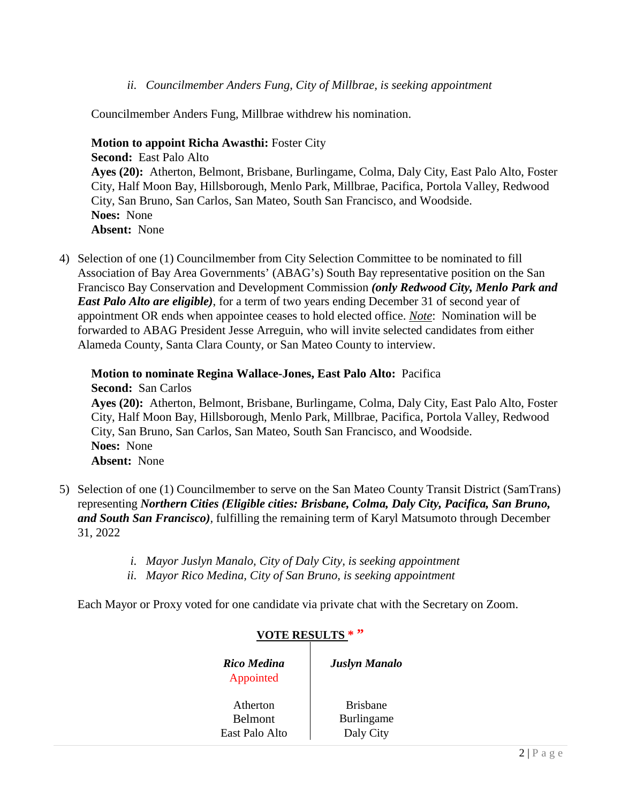*ii. Councilmember Anders Fung, City of Millbrae, is seeking appointment*

Councilmember Anders Fung, Millbrae withdrew his nomination.

**Motion to appoint Richa Awasthi:** Foster City

**Second:** East Palo Alto **Ayes (20):** Atherton, Belmont, Brisbane, Burlingame, Colma, Daly City, East Palo Alto, Foster City, Half Moon Bay, Hillsborough, Menlo Park, Millbrae, Pacifica, Portola Valley, Redwood City, San Bruno, San Carlos, San Mateo, South San Francisco, and Woodside. **Noes:** None **Absent:** None

4) Selection of one (1) Councilmember from City Selection Committee to be nominated to fill Association of Bay Area Governments' (ABAG's) South Bay representative position on the San Francisco Bay Conservation and Development Commission *(only Redwood City, Menlo Park and East Palo Alto are eligible*), for a term of two years ending December 31 of second year of appointment OR ends when appointee ceases to hold elected office. *Note*: Nomination will be forwarded to ABAG President Jesse Arreguin, who will invite selected candidates from either Alameda County, Santa Clara County, or San Mateo County to interview.

**Motion to nominate Regina Wallace-Jones, East Palo Alto:** Pacifica **Second:** San Carlos **Ayes (20):** Atherton, Belmont, Brisbane, Burlingame, Colma, Daly City, East Palo Alto, Foster City, Half Moon Bay, Hillsborough, Menlo Park, Millbrae, Pacifica, Portola Valley, Redwood City, San Bruno, San Carlos, San Mateo, South San Francisco, and Woodside. **Noes:** None **Absent:** None

- 5) Selection of one (1) Councilmember to serve on the San Mateo County Transit District (SamTrans) representing *Northern Cities (Eligible cities: Brisbane, Colma, Daly City, Pacifica, San Bruno, and South San Francisco),* fulfilling the remaining term of Karyl Matsumoto through December 31, 2022
	- *i. Mayor Juslyn Manalo, City of Daly City, is seeking appointment*
	- *ii. Mayor Rico Medina, City of San Bruno, is seeking appointment*

Each Mayor or Proxy voted for one candidate via private chat with the Secretary on Zoom.

| Rico Medina<br>Appointed | <b>Juslyn Manalo</b> |
|--------------------------|----------------------|
| Atherton                 | <b>Brishane</b>      |
| Belmont                  | Burlingame           |
| East Palo Alto           | Daly City            |

#### **VOTE RESULTS \* "**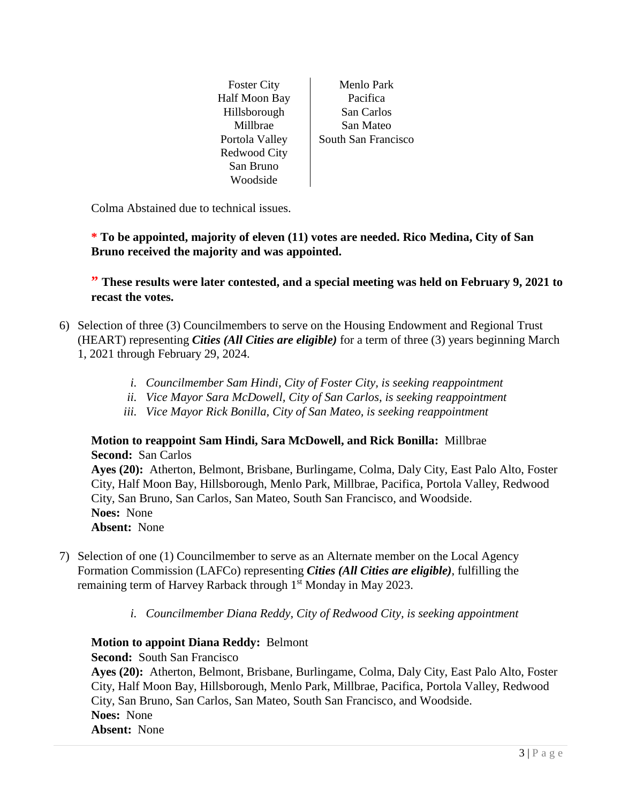Half Moon Bay Pacifica Hillsborough San Carlos Redwood City San Bruno Woodside

Foster City Menlo Park Millbrae | San Mateo Portola Valley | South San Francisco

Colma Abstained due to technical issues.

**\* To be appointed, majority of eleven (11) votes are needed. Rico Medina, City of San Bruno received the majority and was appointed.**

**" These results were later contested, and a special meeting was held on February 9, 2021 to recast the votes.**

- 6) Selection of three (3) Councilmembers to serve on the Housing Endowment and Regional Trust (HEART) representing *Cities (All Cities are eligible)* for a term of three (3) years beginning March 1, 2021 through February 29, 2024.
	- *i. Councilmember Sam Hindi, City of Foster City, is seeking reappointment*
	- *ii. Vice Mayor Sara McDowell, City of San Carlos, is seeking reappointment*
	- *iii. Vice Mayor Rick Bonilla, City of San Mateo, is seeking reappointment*

#### **Motion to reappoint Sam Hindi, Sara McDowell, and Rick Bonilla:** Millbrae **Second:** San Carlos

**Ayes (20):** Atherton, Belmont, Brisbane, Burlingame, Colma, Daly City, East Palo Alto, Foster City, Half Moon Bay, Hillsborough, Menlo Park, Millbrae, Pacifica, Portola Valley, Redwood City, San Bruno, San Carlos, San Mateo, South San Francisco, and Woodside. **Noes:** None **Absent:** None

- 7) Selection of one (1) Councilmember to serve as an Alternate member on the Local Agency Formation Commission (LAFCo) representing *Cities (All Cities are eligible)*, fulfilling the remaining term of Harvey Rarback through 1<sup>st</sup> Monday in May 2023.
	- *i. Councilmember Diana Reddy, City of Redwood City, is seeking appointment*

#### **Motion to appoint Diana Reddy:** Belmont

### **Second:** South San Francisco

**Ayes (20):** Atherton, Belmont, Brisbane, Burlingame, Colma, Daly City, East Palo Alto, Foster City, Half Moon Bay, Hillsborough, Menlo Park, Millbrae, Pacifica, Portola Valley, Redwood City, San Bruno, San Carlos, San Mateo, South San Francisco, and Woodside. **Noes:** None **Absent:** None